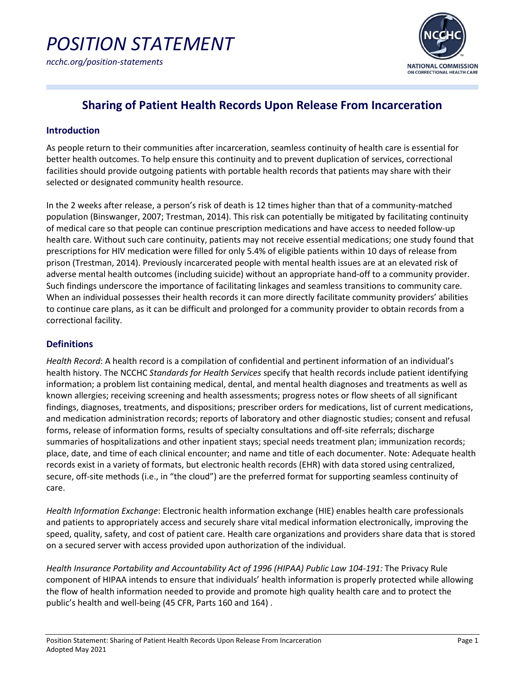

### **Sharing of Patient Health Records Upon Release From Incarceration**

#### **Introduction**

As people return to their communities after incarceration, seamless continuity of health care is essential for better health outcomes. To help ensure this continuity and to prevent duplication of services, correctional facilities should provide outgoing patients with portable health records that patients may share with their selected or designated community health resource.

In the 2 weeks after release, a person's risk of death is 12 times higher than that of a community-matched population (Binswanger, 2007; Trestman, 2014). This risk can potentially be mitigated by facilitating continuity of medical care so that people can continue prescription medications and have access to needed follow-up health care. Without such care continuity, patients may not receive essential medications; one study found that prescriptions for HIV medication were filled for only 5.4% of eligible patients within 10 days of release from prison (Trestman, 2014). Previously incarcerated people with mental health issues are at an elevated risk of adverse mental health outcomes (including suicide) without an appropriate hand-off to a community provider. Such findings underscore the importance of facilitating linkages and seamless transitions to community care. When an individual possesses their health records it can more directly facilitate community providers' abilities to continue care plans, as it can be difficult and prolonged for a community provider to obtain records from a correctional facility.

#### **Definitions**

*Health Record*: A health record is a compilation of confidential and pertinent information of an individual's health history. The NCCHC *Standards for Health Services* specify that health records include patient identifying information; a problem list containing medical, dental, and mental health diagnoses and treatments as well as known allergies; receiving screening and health assessments; progress notes or flow sheets of all significant findings, diagnoses, treatments, and dispositions; prescriber orders for medications, list of current medications, and medication administration records; reports of laboratory and other diagnostic studies; consent and refusal forms, release of information forms, results of specialty consultations and off-site referrals; discharge summaries of hospitalizations and other inpatient stays; special needs treatment plan; immunization records; place, date, and time of each clinical encounter; and name and title of each documenter. Note: Adequate health records exist in a variety of formats, but electronic health records (EHR) with data stored using centralized, secure, off-site methods (i.e., in "the cloud") are the preferred format for supporting seamless continuity of care.

*Health Information Exchange*: Electronic health information exchange (HIE) enables health care professionals and patients to appropriately access and securely share vital medical information electronically, improving the speed, quality, safety, and cost of patient care. Health care organizations and providers share data that is stored on a secured server with access provided upon authorization of the individual.

*Health Insurance Portability and Accountability Act of 1996 (HIPAA) Public Law 104-191:* The Privacy Rule component of HIPAA intends to ensure that individuals' health information is properly protected while allowing the flow of health information needed to provide and promote high quality health care and to protect the public's health and well-being (45 CFR, Parts 160 and 164) .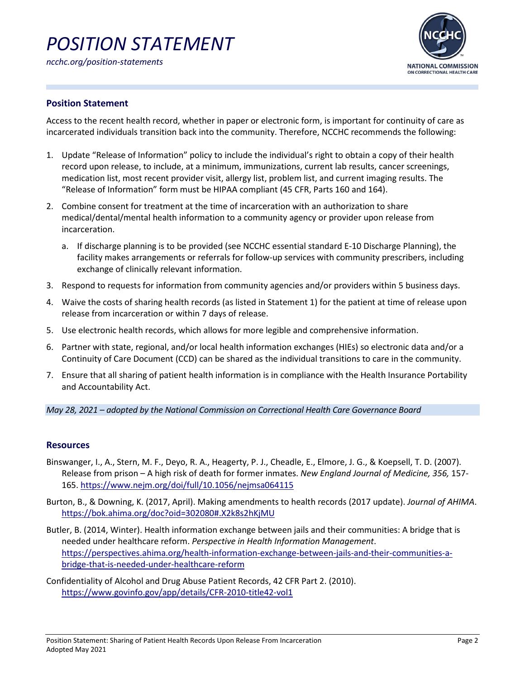# *POSITION STATEMENT*



#### **Position Statement**

Access to the recent health record, whether in paper or electronic form, is important for continuity of care as incarcerated individuals transition back into the community. Therefore, NCCHC recommends the following:

- 1. Update "Release of Information" policy to include the individual's right to obtain a copy of their health record upon release, to include, at a minimum, immunizations, current lab results, cancer screenings, medication list, most recent provider visit, allergy list, problem list, and current imaging results. The "Release of Information" form must be HIPAA compliant (45 CFR, Parts 160 and 164).
- 2. Combine consent for treatment at the time of incarceration with an authorization to share medical/dental/mental health information to a community agency or provider upon release from incarceration.
	- a. If discharge planning is to be provided (see NCCHC essential standard E-10 Discharge Planning), the facility makes arrangements or referrals for follow-up services with community prescribers, including exchange of clinically relevant information.
- 3. Respond to requests for information from community agencies and/or providers within 5 business days.
- 4. Waive the costs of sharing health records (as listed in Statement 1) for the patient at time of release upon release from incarceration or within 7 days of release.
- 5. Use electronic health records, which allows for more legible and comprehensive information.
- 6. Partner with state, regional, and/or local health information exchanges (HIEs) so electronic data and/or a Continuity of Care Document (CCD) can be shared as the individual transitions to care in the community.
- 7. Ensure that all sharing of patient health information is in compliance with the Health Insurance Portability and Accountability Act.

#### *May 28, 2021 – adopted by the National Commission on Correctional Health Care Governance Board*

#### **Resources**

- Binswanger, I., A., Stern, M. F., Deyo, R. A., Heagerty, P. J., Cheadle, E., Elmore, J. G., & Koepsell, T. D. (2007). Release from prison – A high risk of death for former inmates. *New England Journal of Medicine, 356,* 157- 165.<https://www.nejm.org/doi/full/10.1056/nejmsa064115>
- Burton, B., & Downing, K. (2017, April). Making amendments to health records (2017 update). *Journal of AHIMA*. <https://bok.ahima.org/doc?oid=302080#.X2k8s2hKjMU>
- Butler, B. (2014, Winter). Health information exchange between jails and their communities: A bridge that is needed under healthcare reform. *Perspective in Health Information Management*. [https://perspectives.ahima.org/health-information-exchange-between-jails-and-their-communities-a](https://perspectives.ahima.org/health-information-exchange-between-jails-and-their-communities-a-bridge-that-is-needed-under-healthcare-reform)[bridge-that-is-needed-under-healthcare-reform](https://perspectives.ahima.org/health-information-exchange-between-jails-and-their-communities-a-bridge-that-is-needed-under-healthcare-reform)
- Confidentiality of Alcohol and Drug Abuse Patient Records, 42 CFR Part 2. (2010). <https://www.govinfo.gov/app/details/CFR-2010-title42-vol1>